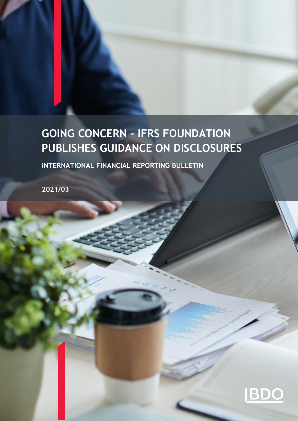# **GOING CONCERN – IFRS FOUNDATION PUBLISHES GUIDANCE ON DISCLOSURES**

**INTERNATIONAL FINANCIAL REPORTING BULLETIN** 

**2021/03**

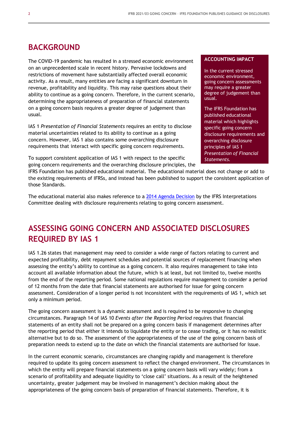#### **BACKGROUND**

The COVID-19 pandemic has resulted in a stressed economic environment on an unprecedented scale in recent history. Pervasive lockdowns and restrictions of movement have substantially affected overall economic activity. As a result, many entities are facing a significant downturn in revenue, profitability and liquidity. This may raise questions about their ability to continue as a going concern. Therefore, in the current scenario, determining the appropriateness of preparation of financial statements on a going concern basis requires a greater degree of judgement than usual.

IAS 1 *Presentation of Financial Statements* requires an entity to disclose material uncertainties related to its ability to continue as a going concern. However, IAS 1 also contains some overarching disclosure requirements that interact with specific going concern requirements.

To support consistent application of IAS 1 with respect to the specific going concern requirements and the overarching disclosure principles, the

#### **ACCOUNTING IMPACT**

In the current stressed economic environment, going concern assessments may require a greater degree of judgement than usual.

The IFRS Foundation has published educational material which highlights specific going concern disclosure requirements and overarching disclosure principles of IAS 1 *Presentation of Financial Statements.*

IFRS Foundation has published educational material. The educational material does not change or add to the existing requirements of IFRSs, and instead has been published to support the consistent application of those Standards.

The educational material also makes reference to a [2014 Agenda Decision](https://cdn.ifrs.org/-/media/feature/supporting-implementation/agenda-decisions/ias-1-disclosure-requirements-relating-to-assessment-of-going-concern-jul-14.pdf) by the IFRS Interpretations Committee dealing with disclosure requirements relating to going concern assessment.

# **ASSESSING GOING CONCERN AND ASSOCIATED DISCLOSURES REQUIRED BY IAS 1**

IAS 1.26 states that management may need to consider a wide range of factors relating to current and expected profitability, debt repayment schedules and potential sources of replacement financing when assessing the entity's ability to continue as a going concern. It also requires management to take into account all available information about the future, which is at least, but not limited to, twelve months from the end of the reporting period. Some national regulations require management to consider a period of 12 months from the date that financial statements are authorised for issue for going concern assessment. Consideration of a longer period is not inconsistent with the requirements of IAS 1, which set only a minimum period.

The going concern assessment is a dynamic assessment and is required to be responsive to changing circumstances. Paragraph 14 of IAS 10 *Events after the Reporting Period* requires that financial statements of an entity shall not be prepared on a going concern basis if management determines after the reporting period that either it intends to liquidate the entity or to cease trading, or it has no realistic alternative but to do so. The assessment of the appropriateness of the use of the going concern basis of preparation needs to extend up to the date on which the financial statements are authorised for issue.

In the current economic scenario, circumstances are changing rapidly and management is therefore required to update its going concern assessment to reflect the changed environment. The circumstances in which the entity will prepare financial statements on a going concern basis will vary widely; from a scenario of profitability and adequate liquidity to 'close call' situations. As a result of the heightened uncertainty, greater judgement may be involved in management's decision making about the appropriateness of the going concern basis of preparation of financial statements. Therefore, it is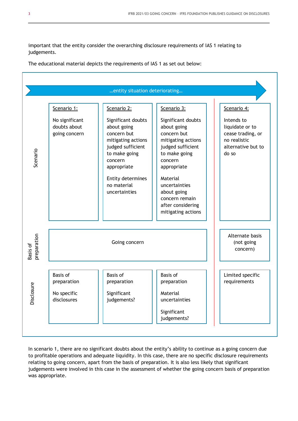important that the entity consider the overarching disclosure requirements of IAS 1 relating to judgements.

The educational material depicts the requirements of IAS 1 as set out below:

| entity situation deteriorating |                                                              |                                                                                                                                                                                             |                                                                                                                                                                                                                                                 |                                                                                                   |
|--------------------------------|--------------------------------------------------------------|---------------------------------------------------------------------------------------------------------------------------------------------------------------------------------------------|-------------------------------------------------------------------------------------------------------------------------------------------------------------------------------------------------------------------------------------------------|---------------------------------------------------------------------------------------------------|
|                                | Scenario 1:                                                  | Scenario 2:                                                                                                                                                                                 | Scenario 3:                                                                                                                                                                                                                                     | Scenario 4:                                                                                       |
| Scenario                       | No significant<br>doubts about<br>going concern              | Significant doubts<br>about going<br>concern but<br>mitigating actions<br>judged sufficient<br>to make going<br>concern<br>appropriate<br>Entity determines<br>no material<br>uncertainties | Significant doubts<br>about going<br>concern but<br>mitigating actions<br>judged sufficient<br>to make going<br>concern<br>appropriate<br>Material<br>uncertainties<br>about going<br>concern remain<br>after considering<br>mitigating actions | Intends to<br>liquidate or to<br>cease trading, or<br>no realistic<br>alternative but to<br>do so |
| preparation<br>Basis of        | Going concern                                                |                                                                                                                                                                                             |                                                                                                                                                                                                                                                 | Alternate basis<br>(not going<br>concern)                                                         |
| losure<br>Disc                 | <b>Basis of</b><br>preparation<br>No specific<br>disclosures | <b>Basis of</b><br>preparation<br>Significant<br>judgements?                                                                                                                                | <b>Basis of</b><br>preparation<br>Material<br>uncertainties<br>Significant<br>judgements?                                                                                                                                                       | Limited specific<br>requirements                                                                  |

In scenario 1, there are no significant doubts about the entity's ability to continue as a going concern due to profitable operations and adequate liquidity. In this case, there are no specific disclosure requirements relating to going concern, apart from the basis of preparation. It is also less likely that significant judgements were involved in this case in the assessment of whether the going concern basis of preparation was appropriate.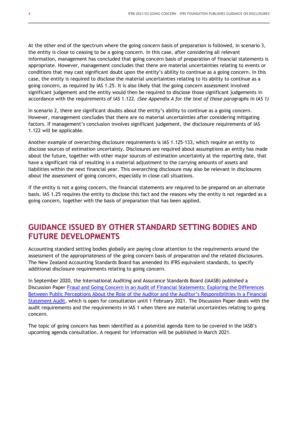At the other end of the spectrum where the going concern basis of preparation is followed, in scenario 3, the entity is close to ceasing to be a going concern. In this case, after considering all relevant information, management has concluded that going concern basis of preparation of financial statements is appropriate. However, management concludes that there are material uncertainties relating to events or conditions that may cast significant doubt upon the entity's ability to continue as a going concern. In this case, the entity is required to disclose the material uncertainties relating to its ability to continue as a going concern, as required by IAS 1.25. It is also likely that the going concern assessment involved significant judgement and the entity would then be required to disclose those significant judgements in accordance with the requirements of IAS 1.122. *(See Appendix A for the text of those paragraphs in IAS 1)*

In scenario 2, there are significant doubts about the entity's ability to continue as a going concern. However, management concludes that there are no material uncertainties after considering mitigating factors. If management's conclusion involves significant judgement, the disclosure requirements of IAS 1.122 will be applicable.

Another example of overarching disclosure requirements is IAS 1.125-133, which require an entity to disclose sources of estimation uncertainty. Disclosures are required about assumptions an entity has made about the future, together with other major sources of estimation uncertainty at the reporting date, that have a significant risk of resulting in a material adjustment to the carrying amounts of assets and liabilities within the next financial year. This overarching disclosure may also be relevant in disclosures about the assessment of going concern, especially in close call situations.

If the entity is not a going concern, the financial statements are required to be prepared on an alternate basis. IAS 1.25 requires the entity to disclose this fact and the reasons why the entity is not regarded as a going concern, together with the basis of preparation that has been applied.

### **GUIDANCE ISSUED BY OTHER STANDARD SETTING BODIES AND FUTURE DEVELOPMENTS**

Accounting standard setting bodies globally are paying close attention to the requirements around the assessment of the appropriateness of the going concern basis of preparation and the related disclosures. The New Zealand Accounting Standards Board has amended its IFRS equivalent standards, to specify additional disclosure requirements relating to going concern.

In September 2020, the International Auditing and Assurance Standards Board (IAASB) published a Discussion Paper [Fraud and Going Concern in an Audit of Financial Statements: Exploring the Differences](https://www.iaasb.org/publications/fraud-and-going-concern-audit-financial-statements)  [Between Public Perceptions About the Role of the Auditor and the Audi](https://www.iaasb.org/publications/fraud-and-going-concern-audit-financial-statements)tor's Responsibilities in a Financial [Statement Audit,](https://www.iaasb.org/publications/fraud-and-going-concern-audit-financial-statements) which is open for consultation until 1 February 2021. The Discussion Paper deals with the audit requirements and the requirements in IAS 1 when there are material uncertainties relating to going concern.

The topic of going concern has been identified as a potential agenda item to be covered in the IASB's upcoming agenda consultation. A request for information will be published in March 2021.